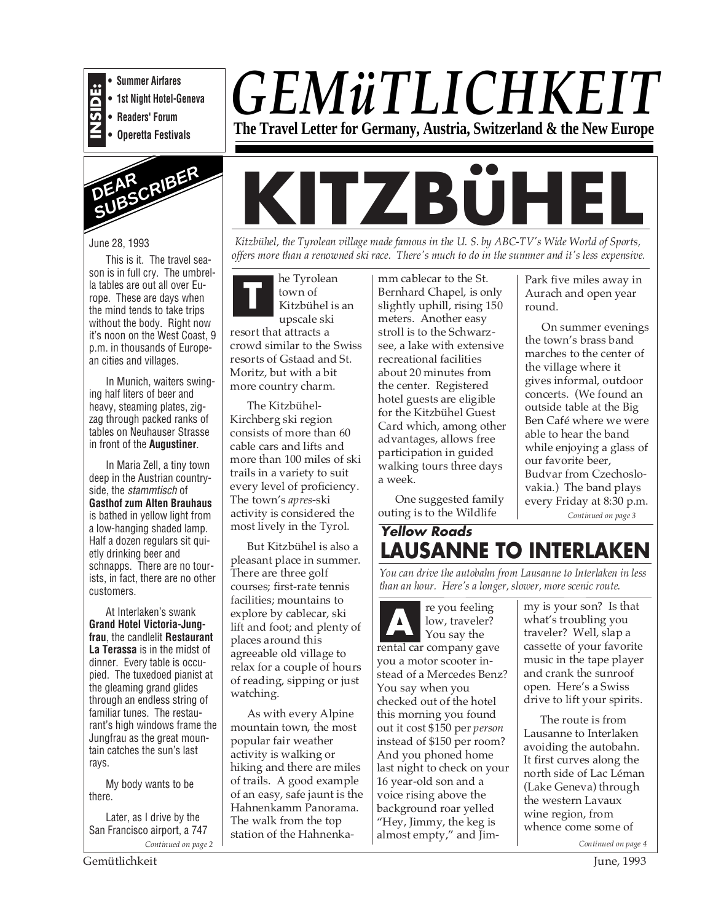

**• Summer Airfares**

**• 1st Night Hotel-Geneva**

**• Readers' Forum • Operetta Festivals**



June 28, 1993

This is it. The travel season is in full cry. The umbrella tables are out all over Europe. These are days when the mind tends to take trips without the body. Right now it's noon on the West Coast, 9 p.m. in thousands of European cities and villages.

In Munich, waiters swinging half liters of beer and heavy, steaming plates, zigzag through packed ranks of tables on Neuhauser Strasse in front of the **Augustiner**.

In Maria Zell, a tiny town deep in the Austrian countryside, the stammtisch of **Gasthof zum Alten Brauhaus** is bathed in yellow light from a low-hanging shaded lamp. Half a dozen regulars sit quietly drinking beer and schnapps. There are no tourists, in fact, there are no other customers.

At Interlaken's swank **Grand Hotel Victoria-Jungfrau**, the candlelit **Restaurant La Terassa** is in the midst of dinner. Every table is occupied. The tuxedoed pianist at the gleaming grand glides through an endless string of familiar tunes. The restaurant's high windows frame the Jungfrau as the great mountain catches the sun's last rays.

My body wants to be there.

Later, as I drive by the San Francisco airport, a 747

**KITZBÜHEL**

*Kitzbühel, the Tyrolean village made famous in the U. S. by ABC-TV's Wide World of Sports, offers more than a renowned ski race. There's much to do in the summer and it's less expensive.*

*GEMüTLICHKEIT*

**The Travel Letter for Germany, Austria, Switzerland & the New Europe**

**T** he Tyrolean town of Kitzbühel is an upscale ski

resort that attracts a crowd similar to the Swiss resorts of Gstaad and St. Moritz, but with a bit more country charm.

The Kitzbühel-Kirchberg ski region consists of more than 60 cable cars and lifts and more than 100 miles of ski trails in a variety to suit every level of proficiency. The town's *apres*-ski activity is considered the most lively in the Tyrol.

But Kitzbühel is also a pleasant place in summer. There are three golf courses; first-rate tennis facilities; mountains to explore by cablecar, ski lift and foot; and plenty of places around this agreeable old village to relax for a couple of hours of reading, sipping or just watching.

As with every Alpine mountain town, the most popular fair weather activity is walking or hiking and there are miles of trails. A good example of an easy, safe jaunt is the Hahnenkamm Panorama. The walk from the top station of the Hahnenkamm cablecar to the St. Bernhard Chapel, is only slightly uphill, rising 150 meters. Another easy stroll is to the Schwarzsee, a lake with extensive recreational facilities about 20 minutes from the center. Registered hotel guests are eligible for the Kitzbühel Guest Card which, among other advantages, allows free participation in guided walking tours three days a week.

One suggested family outing is to the Wildlife

Park five miles away in Aurach and open year round.

On summer evenings the town's brass band marches to the center of the village where it gives informal, outdoor concerts. (We found an outside table at the Big Ben Café where we were able to hear the band while enjoying a glass of our favorite beer, Budvar from Czechoslovakia.) The band plays every Friday at 8:30 p.m.

*Continued on page 3*

# **Yellow Roads LAUSANNE TO INTERLAKEN**

*You can drive the autobahn from Lausanne to Interlaken in less than an hour. Here's a longer, slower, more scenic route.*

*Continued on page 2 Continued on page 4* re you feeling low, traveler? You say the rental car company gave you a motor scooter instead of a Mercedes Benz? You say when you checked out of the hotel this morning you found out it cost \$150 per *person* instead of \$150 per room? And you phoned home last night to check on your 16 year-old son and a voice rising above the background roar yelled "Hey, Jimmy, the keg is almost empty," and Jim-**A**

my is your son? Is that what's troubling you traveler? Well, slap a cassette of your favorite music in the tape player and crank the sunroof open. Here's a Swiss drive to lift your spirits.

The route is from Lausanne to Interlaken avoiding the autobahn. It first curves along the north side of Lac Léman (Lake Geneva) through the western Lavaux wine region, from whence come some of

Gemütlichkeit June, 1993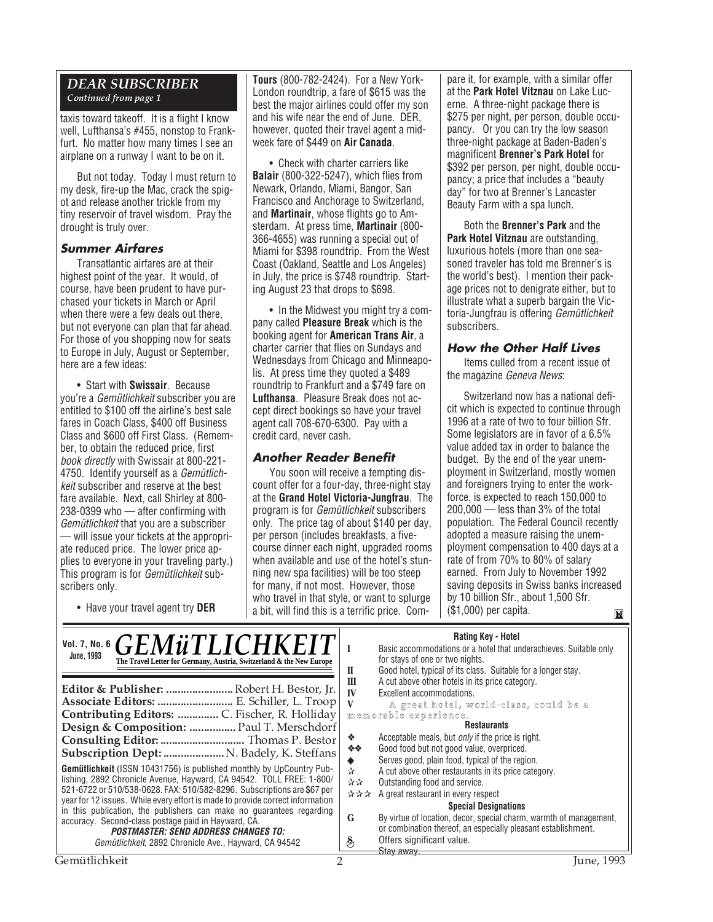# *DEAR SUBSCRIBER*

*Continued from page 1*

taxis toward takeoff. It is a flight I know well, Lufthansa's #455, nonstop to Frankfurt. No matter how many times I see an airplane on a runway I want to be on it.

But not today. Today I must return to my desk, fire-up the Mac, crack the spigot and release another trickle from my tiny reservoir of travel wisdom. Pray the drought is truly over.

### **Summer Airfares**

Transatlantic airfares are at their highest point of the year. It would, of course, have been prudent to have purchased your tickets in March or April when there were a few deals out there, but not everyone can plan that far ahead. For those of you shopping now for seats to Europe in July, August or September, here are a few ideas:

• Start with **Swissair**. Because you're a Gemütlichkeit subscriber you are entitled to \$100 off the airline's best sale fares in Coach Class, \$400 off Business Class and \$600 off First Class. (Remember, to obtain the reduced price, first book directly with Swissair at 800-221- 4750. Identify yourself as a Gemütlichkeit subscriber and reserve at the best fare available. Next, call Shirley at 800- 238-0399 who — after confirming with Gemütlichkeit that you are a subscriber — will issue your tickets at the appropri-

ate reduced price. The lower price applies to everyone in your traveling party.) This program is for *Gemütlichkeit* subscribers only.

• Have your travel agent try **DER**

**Tours** (800-782-2424). For a New York-London roundtrip, a fare of \$615 was the best the major airlines could offer my son and his wife near the end of June. DER, however, quoted their travel agent a midweek fare of \$449 on **Air Canada**.

• Check with charter carriers like **Balair** (800-322-5247), which flies from Newark, Orlando, Miami, Bangor, San Francisco and Anchorage to Switzerland, and **Martinair**, whose flights go to Amsterdam. At press time, **Martinair** (800- 366-4655) was running a special out of Miami for \$398 roundtrip. From the West Coast (Oakland, Seattle and Los Angeles) in July, the price is \$748 roundtrip. Starting August 23 that drops to \$698.

• In the Midwest you might try a company called **Pleasure Break** which is the booking agent for **American Trans Air**, a charter carrier that flies on Sundays and Wednesdays from Chicago and Minneapolis. At press time they quoted a \$489 roundtrip to Frankfurt and a \$749 fare on **Lufthansa**. Pleasure Break does not accept direct bookings so have your travel agent call 708-670-6300. Pay with a credit card, never cash.

# **Another Reader Benefit**

You soon will receive a tempting discount offer for a four-day, three-night stay at the **Grand Hotel Victoria-Jungfrau**. The program is for Gemütlichkeit subscribers only. The price tag of about \$140 per day, per person (includes breakfasts, a fivecourse dinner each night, upgraded rooms when available and use of the hotel's stunning new spa facilities) will be too steep for many, if not most. However, those who travel in that style, or want to splurge a bit, will find this is a terrific price. Compare it, for example, with a similar offer at the **Park Hotel Vitznau** on Lake Lucerne. A three-night package there is \$275 per night, per person, double occupancy. Or you can try the low season three-night package at Baden-Baden's magnificent **Brenner's Park Hotel** for \$392 per person, per night, double occupancy; a price that includes a "beauty day" for two at Brenner's Lancaster Beauty Farm with a spa lunch.

Both the **Brenner's Park** and the **Park Hotel Vitznau** are outstanding, luxurious hotels (more than one seasoned traveler has told me Brenner's is the world's best). I mention their package prices not to denigrate either, but to illustrate what a superb bargain the Victoria-Jungfrau is offering Gemütlichkeit subscribers.

### **How the Other Half Lives**

Items culled from a recent issue of the magazine Geneva News:

Switzerland now has a national deficit which is expected to continue through 1996 at a rate of two to four billion Sfr. Some legislators are in favor of a 6.5% value added tax in order to balance the budget. By the end of the year unemployment in Switzerland, mostly women and foreigners trying to enter the workforce, is expected to reach 150,000 to 200,000 — less than 3% of the total population. The Federal Council recently adopted a measure raising the unemployment compensation to 400 days at a rate of from 70% to 80% of salary earned. From July to November 1992 saving deposits in Swiss banks increased by 10 billion Sfr., about 1,500 Sfr. (\$1,000) per capita. $\mathbf{M}$ 

### **Rating Key - Hotel**

| Vol. 7, No. 6 $GEM\ddot{u}TLLICHKEI$<br><b>June, 1993</b><br>The Travel Letter for Germany, Austria, Switzerland & the New Europe<br>Editor & Publisher:  Robert H. Bestor, Jr.<br>Associate Editors:  E. Schiller, L. Troop<br>Design & Composition:  Paul T. Merschdorf<br>Consulting Editor:  Thomas P. Bestor<br><b>Subscription Dept:  N. Badely, K. Steffans</b>                                                                                                                                                                                 | П<br>Ш<br>IV<br>❖<br>- 秦 秦 。         | natility New Protect<br>Basic accommodations or a hotel that underachieves. Suitable only<br>for stays of one or two nights.<br>Good hotel, typical of its class. Suitable for a longer stay.<br>A cut above other hotels in its price category.<br>Excellent accommodations.<br>A great hotel, world-class, could be a<br>memorable experience.<br><b>Restaurants</b><br>Acceptable meals, but <i>only</i> if the price is right.<br>Good food but not good value, overpriced. |
|--------------------------------------------------------------------------------------------------------------------------------------------------------------------------------------------------------------------------------------------------------------------------------------------------------------------------------------------------------------------------------------------------------------------------------------------------------------------------------------------------------------------------------------------------------|--------------------------------------|---------------------------------------------------------------------------------------------------------------------------------------------------------------------------------------------------------------------------------------------------------------------------------------------------------------------------------------------------------------------------------------------------------------------------------------------------------------------------------|
| Gemütlichkeit (ISSN 10431756) is published monthly by UpCountry Pub-<br>lishing, 2892 Chronicle Avenue, Hayward, CA 94542. TOLL FREE: 1-800/<br>521-6722 or 510/538-0628. FAX: 510/582-8296. Subscriptions are \$67 per<br>year for 12 issues. While every effort is made to provide correct information<br>in this publication, the publishers can make no quarantees regarding<br>accuracy. Second-class postage paid in Hayward, CA.<br><i><b>POSTMASTER: SEND ADDRESS CHANGES TO:</b></i><br>Gemütlichkeit, 2892 Chronicle Ave., Hayward, CA 94542 | $\chi$<br>사자<br>***<br>G<br>$\delta$ | Serves good, plain food, typical of the region.<br>A cut above other restaurants in its price category.<br>Outstanding food and service.<br>A great restaurant in every respect<br><b>Special Designations</b><br>By virtue of location, decor, special charm, warmth of management,<br>or combination thereof, an especially pleasant establishment.<br>Offers significant value.<br>Stay away.                                                                                |
| Gemütlichkeit                                                                                                                                                                                                                                                                                                                                                                                                                                                                                                                                          |                                      | June, 1993                                                                                                                                                                                                                                                                                                                                                                                                                                                                      |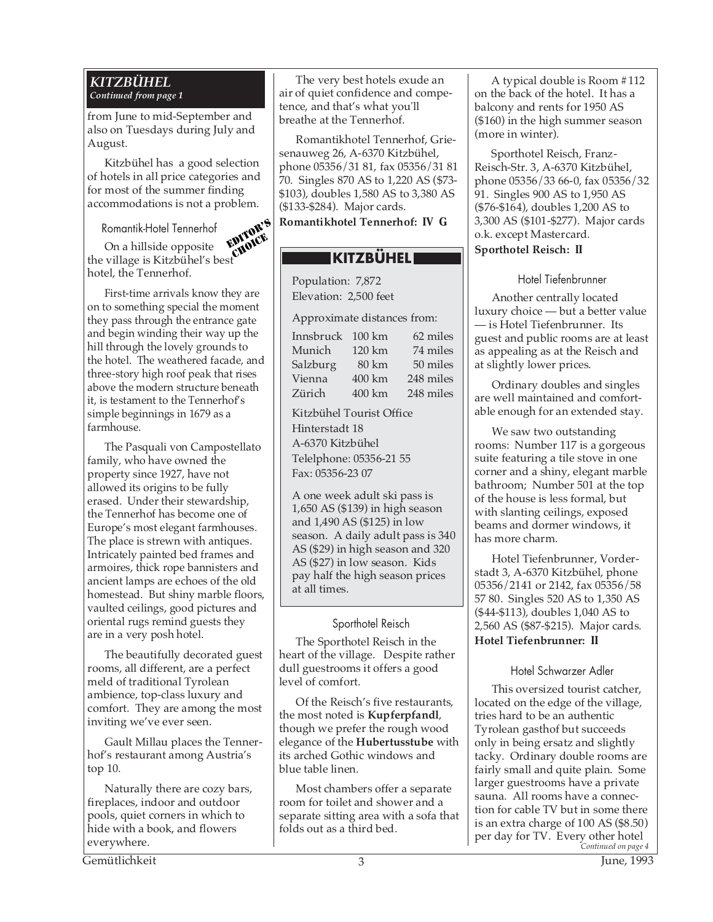#### *KITZBÜHEL Continued from page 1*

from June to mid-September and also on Tuesdays during July and August.

Kitzbühel has a good selection of hotels in all price categories and for most of the summer finding accommodations is not a problem.

Romantik-Hotel Tennerhof

On a hillside opposite the village is Kitzbühel's best hotel, the Tennerhof. EDITOR'S CHOICE.<br>CHOICE

First-time arrivals know they are on to something special the moment they pass through the entrance gate and begin winding their way up the hill through the lovely grounds to the hotel. The weathered facade, and three-story high roof peak that rises above the modern structure beneath it, is testament to the Tennerhof's simple beginnings in 1679 as a farmhouse.

The Pasquali von Campostellato family, who have owned the property since 1927, have not allowed its origins to be fully erased. Under their stewardship, the Tennerhof has become one of Europe's most elegant farmhouses. The place is strewn with antiques. Intricately painted bed frames and armoires, thick rope bannisters and ancient lamps are echoes of the old homestead. But shiny marble floors, vaulted ceilings, good pictures and oriental rugs remind guests they are in a very posh hotel.

The beautifully decorated guest rooms, all different, are a perfect meld of traditional Tyrolean ambience, top-class luxury and comfort. They are among the most inviting we've ever seen.

Gault Millau places the Tennerhof's restaurant among Austria's top 10.

Naturally there are cozy bars, fireplaces, indoor and outdoor pools, quiet corners in which to hide with a book, and flowers everywhere.

The very best hotels exude an air of quiet confidence and competence, and that's what you'll breathe at the Tennerhof.

Romantikhotel Tennerhof, Griesenauweg 26, A-6370 Kitzbühel, phone 05356/31 81, fax 05356/31 81 70. Singles 870 AS to 1,220 AS (\$73- \$103), doubles 1,580 AS to 3,380 AS (\$133-\$284). Major cards.

**Romantikhotel Tennerhof: IV G**

# **KITZBÜHEL**

Population: 7,872 Elevation: 2,500 feet

Approximate distances from:

| Innsbruck | $100 \mathrm{km}$ | 62 miles  |
|-----------|-------------------|-----------|
| Munich    | 120 km            | 74 miles  |
| Salzburg  | 80 km             | 50 miles  |
| Vienna    | 400 km            | 248 miles |
| Zürich    | 400 km            | 248 miles |

Kitzbühel Tourist Office Hinterstadt 18 A-6370 Kitzbühel Telelphone: 05356-21 55 Fax: 05356-23 07

A one week adult ski pass is 1,650 AS (\$139) in high season and 1,490 AS (\$125) in low season. A daily adult pass is 340 AS (\$29) in high season and 320 AS (\$27) in low season. Kids pay half the high season prices at all times.

# Sporthotel Reisch

The Sporthotel Reisch in the heart of the village. Despite rather dull guestrooms it offers a good level of comfort.

Of the Reisch's five restaurants, the most noted is **Kupferpfandl**, though we prefer the rough wood elegance of the **Hubertusstube** with its arched Gothic windows and blue table linen.

Most chambers offer a separate room for toilet and shower and a separate sitting area with a sofa that folds out as a third bed.

A typical double is Room #112 on the back of the hotel. It has a balcony and rents for 1950 AS (\$160) in the high summer season (more in winter).

Sporthotel Reisch, Franz-Reisch-Str. 3, A-6370 Kitzbühel, phone 05356/33 66-0, fax 05356/32 91. Singles 900 AS to 1,950 AS (\$76-\$164), doubles 1,200 AS to 3,300 AS (\$101-\$277). Major cards o.k. except Mastercard. **Sporthotel Reisch: II**

Hotel Tiefenbrunner

Another centrally located luxury choice — but a better value — is Hotel Tiefenbrunner. Its guest and public rooms are at least as appealing as at the Reisch and at slightly lower prices.

Ordinary doubles and singles are well maintained and comfortable enough for an extended stay.

We saw two outstanding rooms: Number 117 is a gorgeous suite featuring a tile stove in one corner and a shiny, elegant marble bathroom; Number 501 at the top of the house is less formal, but with slanting ceilings, exposed beams and dormer windows, it has more charm.

Hotel Tiefenbrunner, Vorderstadt 3, A-6370 Kitzbühel, phone 05356/2141 or 2142, fax 05356/58 57 80. Singles 520 AS to 1,350 AS (\$44-\$113), doubles 1,040 AS to 2,560 AS (\$87-\$215). Major cards. **Hotel Tiefenbrunner: II**

# Hotel Schwarzer Adler

*Continued on page 4* per day for TV. Every other hotel This oversized tourist catcher, located on the edge of the village, tries hard to be an authentic Tyrolean gasthof but succeeds only in being ersatz and slightly tacky. Ordinary double rooms are fairly small and quite plain. Some larger guestrooms have a private sauna. All rooms have a connection for cable TV but in some there is an extra charge of 100 AS (\$8.50)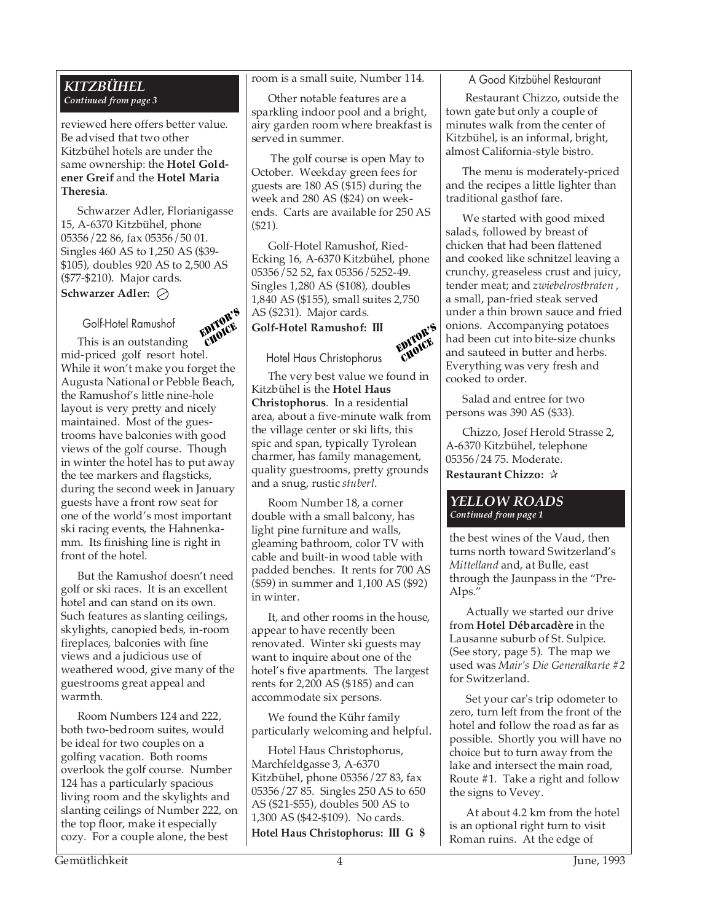### *KITZBÜHEL Continued from page 3*

reviewed here offers better value. Be advised that two other Kitzbühel hotels are under the same ownership: the **Hotel Goldener Greif** and the **Hotel Maria Theresia**.

Schwarzer Adler, Florianigasse 15, A-6370 Kitzbühel, phone 05356/22 86, fax 05356/50 01. Singles 460 AS to 1,250 AS (\$39- \$105), doubles 920 AS to 2,500 AS (\$77-\$210). Major cards. **Schwarzer Adler:**

### Golf-Hotel Ramushof

EDITOR'S CHOICE This is an outstanding mid-priced golf resort hotel. While it won't make you forget the Augusta National or Pebble Beach, the Ramushof's little nine-hole layout is very pretty and nicely maintained. Most of the guestrooms have balconies with good views of the golf course. Though in winter the hotel has to put away the tee markers and flagsticks, during the second week in January guests have a front row seat for one of the world's most important ski racing events, the Hahnenkamm. Its finishing line is right in front of the hotel.

But the Ramushof doesn't need golf or ski races. It is an excellent hotel and can stand on its own. Such features as slanting ceilings, skylights, canopied beds, in-room fireplaces, balconies with fine views and a judicious use of weathered wood, give many of the guestrooms great appeal and warmth.

Room Numbers 124 and 222, both two-bedroom suites, would be ideal for two couples on a golfing vacation. Both rooms overlook the golf course. Number 124 has a particularly spacious living room and the skylights and slanting ceilings of Number 222, on the top floor, make it especially cozy. For a couple alone, the best

room is a small suite, Number 114.

Other notable features are a sparkling indoor pool and a bright, airy garden room where breakfast is served in summer.

 The golf course is open May to October. Weekday green fees for guests are 180 AS (\$15) during the week and 280 AS (\$24) on weekends. Carts are available for 250 AS (\$21).

Golf-Hotel Ramushof, Ried-Ecking 16, A-6370 Kitzbühel, phone 05356/52 52, fax 05356/5252-49. Singles 1,280 AS (\$108), doubles 1,840 AS (\$155), small suites 2,750 AS (\$231). Major cards.

**Golf-Hotel Ramushof: III**



Hotel Haus Christophorus

The very best value we found in Kitzbühel is the **Hotel Haus Christophorus**. In a residential area, about a five-minute walk from the village center or ski lifts, this spic and span, typically Tyrolean charmer, has family management, quality guestrooms, pretty grounds and a snug, rustic *stuberl*.

Room Number 18, a corner double with a small balcony, has light pine furniture and walls, gleaming bathroom, color TV with cable and built-in wood table with padded benches. It rents for 700 AS (\$59) in summer and 1,100 AS (\$92) in winter.

It, and other rooms in the house, appear to have recently been renovated. Winter ski guests may want to inquire about one of the hotel's five apartments. The largest rents for 2,200 AS (\$185) and can accommodate six persons.

We found the Kühr family particularly welcoming and helpful.

Hotel Haus Christophorus, Marchfeldgasse 3, A-6370 Kitzbühel, phone 05356/27 83, fax 05356/27 85. Singles 250 AS to 650 AS (\$21-\$55), doubles 500 AS to 1,300 AS (\$42-\$109). No cards. **Hotel Haus Christophorus: III G \$**

### A Good Kitzbühel Restaurant

 Restaurant Chizzo, outside the town gate but only a couple of minutes walk from the center of Kitzbühel, is an informal, bright, almost California-style bistro.

The menu is moderately-priced and the recipes a little lighter than traditional gasthof fare.

We started with good mixed salads, followed by breast of chicken that had been flattened and cooked like schnitzel leaving a crunchy, greaseless crust and juicy, tender meat; and *zwiebelrostbraten* , a small, pan-fried steak served under a thin brown sauce and fried onions. Accompanying potatoes had been cut into bite-size chunks and sauteed in butter and herbs. Everything was very fresh and cooked to order.

Salad and entree for two persons was 390 AS (\$33).

Chizzo, Josef Herold Strasse 2, A-6370 Kitzbühel, telephone 05356/24 75. Moderate. **Restaurant Chizzo:** ✰

### *YELLOW ROADS Continued from page 1*

the best wines of the Vaud, then turns north toward Switzerland's *Mittelland* and, at Bulle, east through the Jaunpass in the "Pre-Alps."

Actually we started our drive from **Hotel Débarcadère** in the Lausanne suburb of St. Sulpice. (See story, page 5). The map we used was *Mair's Die Generalkarte #2* for Switzerland.

Set your car's trip odometer to zero, turn left from the front of the hotel and follow the road as far as possible. Shortly you will have no choice but to turn away from the lake and intersect the main road, Route #1. Take a right and follow the signs to Vevey.

At about 4.2 km from the hotel is an optional right turn to visit Roman ruins. At the edge of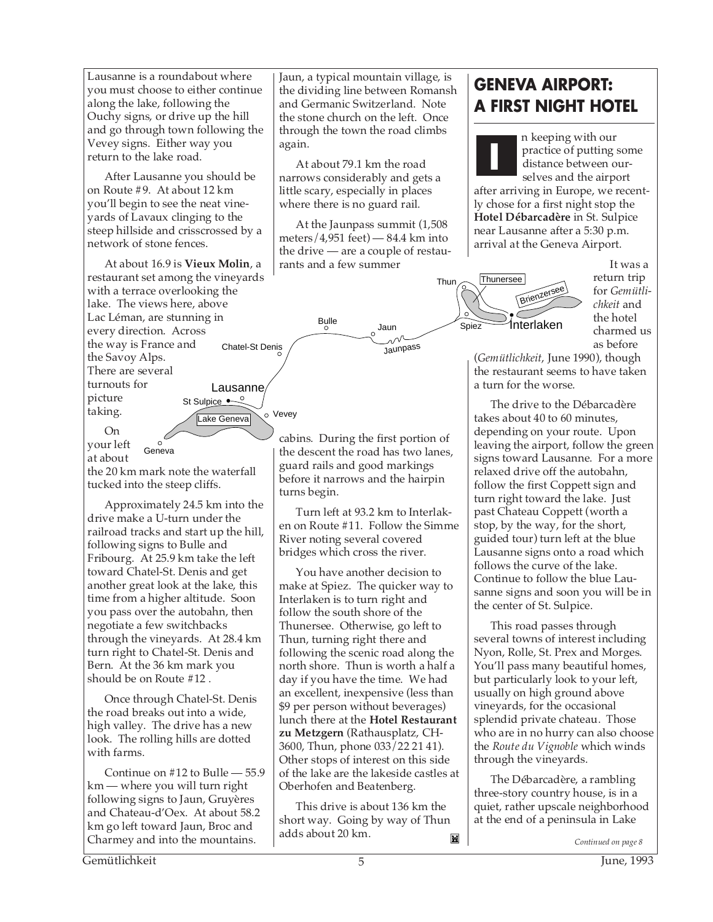Lausanne is a roundabout where you must choose to either continue along the lake, following the Ouchy signs, or drive up the hill and go through town following the Vevey signs. Either way you return to the lake road.

After Lausanne you should be on Route #9. At about 12 km you'll begin to see the neat vineyards of Lavaux clinging to the steep hillside and crisscrossed by a network of stone fences.

At about 16.9 is **Vieux Molin**, a restaurant set among the vineyards with a terrace overlooking the lake. The views here, above Lac Léman, are stunning in every direction. Across the way is France and the Savoy Alps. There are several turnouts for picture taking. St Sulpice •–<sup>0</sup> o Vevev Chatel-St Denis Lausanne

Lake Geneva

On your left

at about the 20 km mark note the waterfall

tucked into the steep cliffs.

Geneva

 $\circ$ 

Approximately 24.5 km into the drive make a U-turn under the railroad tracks and start up the hill, following signs to Bulle and Fribourg. At 25.9 km take the left toward Chatel-St. Denis and get another great look at the lake, this time from a higher altitude. Soon you pass over the autobahn, then negotiate a few switchbacks through the vineyards. At 28.4 km turn right to Chatel-St. Denis and Bern. At the 36 km mark you should be on Route #12 .

Once through Chatel-St. Denis the road breaks out into a wide, high valley. The drive has a new look. The rolling hills are dotted with farms.

Continue on #12 to Bulle — 55.9 km — where you will turn right following signs to Jaun, Gruyères and Chateau-d'Oex. At about 58.2 km go left toward Jaun, Broc and Charmey and into the mountains.

Jaun, a typical mountain village, is the dividing line between Romansh and Germanic Switzerland. Note the stone church on the left. Once through the town the road climbs again.

At about 79.1 km the road narrows considerably and gets a little scary, especially in places where there is no guard rail.

At the Jaunpass summit (1,508 meters/ $4,951$  feet)  $-84.4$  km into the drive — are a couple of restaurants and a few summer

Jaun

Jaunpass

cabins. During the first portion of the descent the road has two lanes, guard rails and good markings before it narrows and the hairpin

Turn left at 93.2 km to Interlaken on Route #11. Follow the Simme River noting several covered bridges which cross the river.

You have another decision to make at Spiez. The quicker way to Interlaken is to turn right and follow the south shore of the Thunersee. Otherwise, go left to Thun, turning right there and following the scenic road along the north shore. Thun is worth a half a day if you have the time. We had an excellent, inexpensive (less than \$9 per person without beverages) lunch there at the **Hotel Restaurant zu Metzgern** (Rathausplatz, CH-3600, Thun, phone 033/22 21 41). Other stops of interest on this side of the lake are the lakeside castles at

turns begin.



n keeping with our practice of putting some distance between ourselves and the airport

after arriving in Europe, we recently chose for a first night stop the **Hotel Débarcadère** in St. Sulpice near Lausanne after a 5:30 p.m. arrival at the Geneva Airport.



**I**

It was a return trip for *Gemütlichkeit* and the hotel charmed us as before

(*Gemütlichkeit*, June 1990), though the restaurant seems to have taken a turn for the worse.

The drive to the Débarcadère takes about 40 to 60 minutes, depending on your route. Upon leaving the airport, follow the green signs toward Lausanne. For a more relaxed drive off the autobahn, follow the first Coppett sign and turn right toward the lake. Just past Chateau Coppett (worth a stop, by the way, for the short, guided tour) turn left at the blue Lausanne signs onto a road which follows the curve of the lake. Continue to follow the blue Lausanne signs and soon you will be in the center of St. Sulpice.

This road passes through several towns of interest including Nyon, Rolle, St. Prex and Morges. You'll pass many beautiful homes, but particularly look to your left, usually on high ground above vineyards, for the occasional splendid private chateau. Those who are in no hurry can also choose the *Route du Vignoble* which winds through the vineyards.

The Débarcadère, a rambling three-story country house, is in a quiet, rather upscale neighborhood at the end of a peninsula in Lake

*Continued on page 8*

Ĭ.

This drive is about 136 km the short way. Going by way of Thun

Oberhofen and Beatenberg.

adds about 20 km.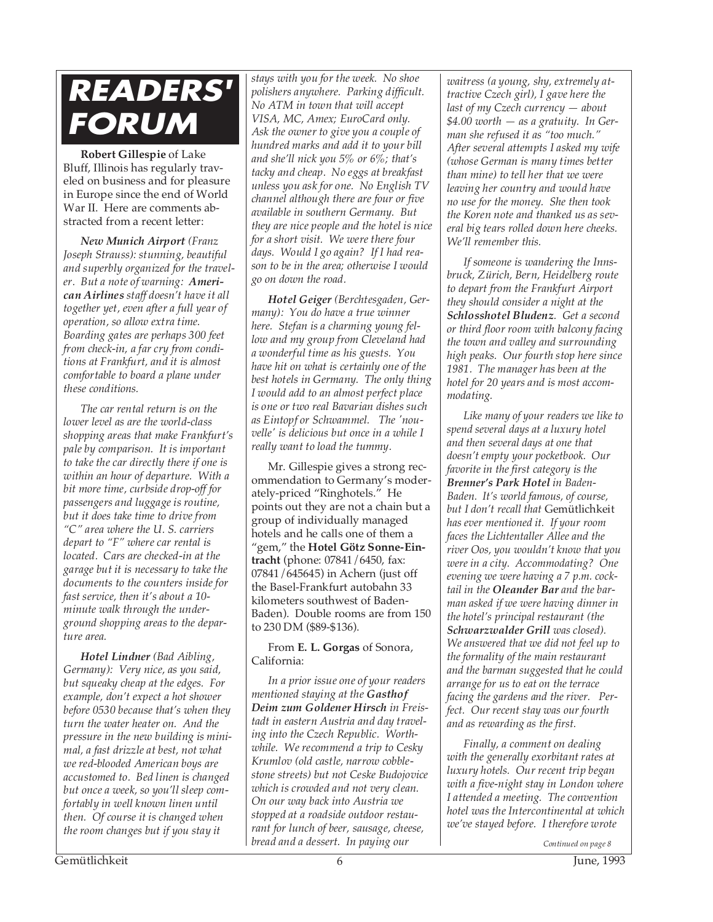# **READERS' FORUM**

**Robert Gillespie** of Lake Bluff, Illinois has regularly traveled on business and for pleasure in Europe since the end of World War II. Here are comments abstracted from a recent letter:

*New Munich Airport (Franz Joseph Strauss): stunning, beautiful and superbly organized for the traveler. But a note of warning: American Airlines staff doesn't have it all together yet, even after a full year of operation, so allow extra time. Boarding gates are perhaps 300 feet from check-in, a far cry from conditions at Frankfurt, and it is almost comfortable to board a plane under these conditions.*

*The car rental return is on the lower level as are the world-class shopping areas that make Frankfurt's pale by comparison. It is important to take the car directly there if one is within an hour of departure. With a bit more time, curbside drop-off for passengers and luggage is routine, but it does take time to drive from "C" area where the U. S. carriers depart to "F" where car rental is located. Cars are checked-in at the garage but it is necessary to take the documents to the counters inside for fast service, then it's about a 10 minute walk through the underground shopping areas to the departure area.*

*Hotel Lindner (Bad Aibling, Germany): Very nice, as you said, but squeaky cheap at the edges. For example, don't expect a hot shower before 0530 because that's when they turn the water heater on. And the pressure in the new building is minimal, a fast drizzle at best, not what we red-blooded American boys are accustomed to. Bed linen is changed but once a week, so you'll sleep comfortably in well known linen until then. Of course it is changed when the room changes but if you stay it*

*stays with you for the week. No shoe polishers anywhere. Parking difficult. No ATM in town that will accept VISA, MC, Amex; EuroCard only. Ask the owner to give you a couple of hundred marks and add it to your bill and she'll nick you 5% or 6%; that's tacky and cheap. No eggs at breakfast unless you ask for one. No English TV channel although there are four or five available in southern Germany. But they are nice people and the hotel is nice for a short visit. We were there four days. Would I go again? If I had reason to be in the area; otherwise I would go on down the road.*

*Hotel Geiger (Berchtesgaden, Germany): You do have a true winner here. Stefan is a charming young fellow and my group from Cleveland had a wonderful time as his guests. You have hit on what is certainly one of the best hotels in Germany. The only thing I would add to an almost perfect place is one or two real Bavarian dishes such as Eintopf or Schwammel. The 'nouvelle' is delicious but once in a while I really want to load the tummy.*

Mr. Gillespie gives a strong recommendation to Germany's moderately-priced "Ringhotels." He points out they are not a chain but a group of individually managed hotels and he calls one of them a "gem," the **Hotel Götz Sonne-Eintracht** (phone: 07841/6450, fax: 07841/645645) in Achern (just off the Basel-Frankfurt autobahn 33 kilometers southwest of Baden-Baden). Double rooms are from 150 to 230 DM (\$89-\$136).

From **E. L. Gorgas** of Sonora, California:

*In a prior issue one of your readers mentioned staying at the Gasthof Deim zum Goldener Hirsch in Freistadt in eastern Austria and day traveling into the Czech Republic. Worthwhile. We recommend a trip to Cesky Krumlov (old castle, narrow cobblestone streets) but not Ceske Budojovice which is crowded and not very clean. On our way back into Austria we stopped at a roadside outdoor restaurant for lunch of beer, sausage, cheese, bread and a dessert. In paying our Continued on page 8*

*waitress (a young, shy, extremely attractive Czech girl), I gave here the last of my Czech currency — about \$4.00 worth — as a gratuity. In German she refused it as "too much." After several attempts I asked my wife (whose German is many times better than mine) to tell her that we were leaving her country and would have no use for the money. She then took the Koren note and thanked us as several big tears rolled down here cheeks. We'll remember this.*

*If someone is wandering the Innsbruck, Zürich, Bern, Heidelberg route to depart from the Frankfurt Airport they should consider a night at the Schlosshotel Bludenz. Get a second or third floor room with balcony facing the town and valley and surrounding high peaks. Our fourth stop here since 1981. The manager has been at the hotel for 20 years and is most accommodating.*

*Like many of your readers we like to spend several days at a luxury hotel and then several days at one that doesn't empty your pocketbook. Our favorite in the first category is the Brenner's Park Hotel in Baden-Baden. It's world famous, of course, but I don't recall that* Gemütlichkeit *has ever mentioned it. If your room faces the Lichtentaller Allee and the river Oos, you wouldn't know that you were in a city. Accommodating? One evening we were having a 7 p.m. cocktail in the Oleander Bar and the barman asked if we were having dinner in the hotel's principal restaurant (the Schwarzwalder Grill was closed). We answered that we did not feel up to the formality of the main restaurant and the barman suggested that he could arrange for us to eat on the terrace facing the gardens and the river. Perfect. Our recent stay was our fourth and as rewarding as the first.*

*Finally, a comment on dealing with the generally exorbitant rates at luxury hotels. Our recent trip began with a five-night stay in London where I attended a meeting. The convention hotel was the Intercontinental at which we've stayed before. I therefore wrote*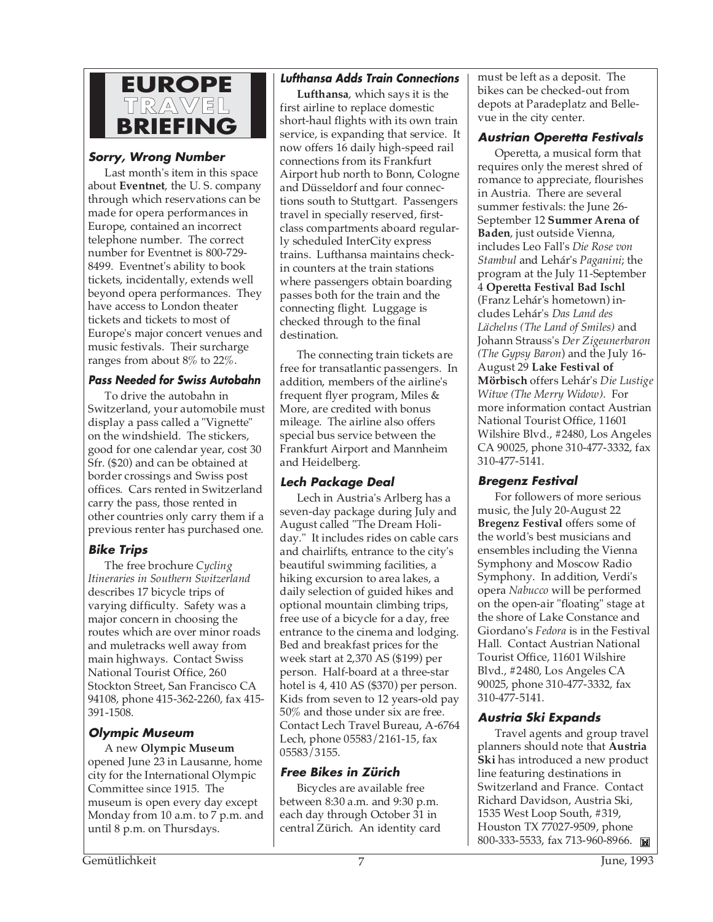

### **Sorry, Wrong Number**

Last month's item in this space about **Eventnet**, the U. S. company through which reservations can be made for opera performances in Europe, contained an incorrect telephone number. The correct number for Eventnet is 800-729- 8499. Eventnet's ability to book tickets, incidentally, extends well beyond opera performances. They have access to London theater tickets and tickets to most of Europe's major concert venues and music festivals. Their surcharge ranges from about 8% to 22%.

### **Pass Needed for Swiss Autobahn**

To drive the autobahn in Switzerland, your automobile must display a pass called a "Vignette" on the windshield. The stickers, good for one calendar year, cost 30 Sfr. (\$20) and can be obtained at border crossings and Swiss post offices. Cars rented in Switzerland carry the pass, those rented in other countries only carry them if a previous renter has purchased one.

# **Bike Trips**

The free brochure *Cycling Itineraries in Southern Switzerland* describes 17 bicycle trips of varying difficulty. Safety was a major concern in choosing the routes which are over minor roads and muletracks well away from main highways. Contact Swiss National Tourist Office, 260 Stockton Street, San Francisco CA 94108, phone 415-362-2260, fax 415- 391-1508.

### **Olympic Museum**

A new **Olympic Museum** opened June 23 in Lausanne, home city for the International Olympic Committee since 1915. The museum is open every day except Monday from 10 a.m. to 7 p.m. and until 8 p.m. on Thursdays.

### **Lufthansa Adds Train Connections**

**Lufthansa**, which says it is the first airline to replace domestic short-haul flights with its own train service, is expanding that service. It now offers 16 daily high-speed rail connections from its Frankfurt Airport hub north to Bonn, Cologne and Düsseldorf and four connections south to Stuttgart. Passengers travel in specially reserved, firstclass compartments aboard regularly scheduled InterCity express trains. Lufthansa maintains checkin counters at the train stations where passengers obtain boarding passes both for the train and the connecting flight. Luggage is checked through to the final destination.

The connecting train tickets are free for transatlantic passengers. In addition, members of the airline's frequent flyer program, Miles & More, are credited with bonus mileage. The airline also offers special bus service between the Frankfurt Airport and Mannheim and Heidelberg.

# **Lech Package Deal**

Lech in Austria's Arlberg has a seven-day package during July and August called "The Dream Holiday." It includes rides on cable cars and chairlifts, entrance to the city's beautiful swimming facilities, a hiking excursion to area lakes, a daily selection of guided hikes and optional mountain climbing trips, free use of a bicycle for a day, free entrance to the cinema and lodging. Bed and breakfast prices for the week start at 2,370 AS (\$199) per person. Half-board at a three-star hotel is 4, 410 AS (\$370) per person. Kids from seven to 12 years-old pay 50% and those under six are free. Contact Lech Travel Bureau, A-6764 Lech, phone 05583/2161-15, fax 05583/3155.

### **Free Bikes in Zürich**

Bicycles are available free between 8:30 a.m. and 9:30 p.m. each day through October 31 in central Zürich. An identity card must be left as a deposit. The bikes can be checked-out from depots at Paradeplatz and Bellevue in the city center.

### **Austrian Operetta Festivals**

Operetta, a musical form that requires only the merest shred of romance to appreciate, flourishes in Austria. There are several summer festivals: the June 26- September 12 **Summer Arena of Baden**, just outside Vienna, includes Leo Fall's *Die Rose von Stambul* and Lehár's *Paganini*; the program at the July 11-September 4 **Operetta Festival Bad Ischl** (Franz Lehár's hometown) includes Lehár's *Das Land des Lächelns (The Land of Smiles)* and Johann Strauss's *Der Zigeunerbaron (The Gypsy Baron*) and the July 16- August 29 **Lake Festival of Mörbisch** offers Lehár's *Die Lustige Witwe (The Merry Widow)*. For more information contact Austrian National Tourist Office, 11601 Wilshire Blvd., #2480, Los Angeles CA 90025, phone 310-477-3332, fax 310-477-5141.

### **Bregenz Festival**

For followers of more serious music, the July 20-August 22 **Bregenz Festival** offers some of the world's best musicians and ensembles including the Vienna Symphony and Moscow Radio Symphony. In addition, Verdi's opera *Nabucco* will be performed on the open-air "floating" stage at the shore of Lake Constance and Giordano's *Fedora* is in the Festival Hall. Contact Austrian National Tourist Office, 11601 Wilshire Blvd., #2480, Los Angeles CA 90025, phone 310-477-3332, fax 310-477-5141.

# **Austria Ski Expands**

Travel agents and group travel planners should note that **Austria Ski** has introduced a new product line featuring destinations in Switzerland and France. Contact Richard Davidson, Austria Ski, 1535 West Loop South, #319, Houston TX 77027-9509, phone 800-333-5533, fax 713-960-8966.